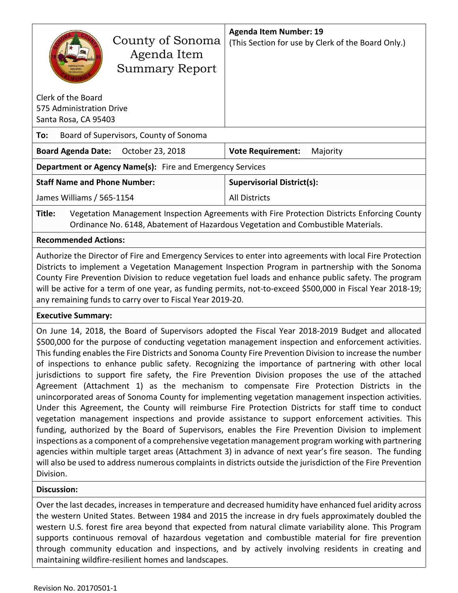|        | County of Sonoma<br>Agenda Item<br><b>Summary Report</b>                                                                                                                                                      | <b>Agenda Item Number: 19</b><br>(This Section for use by Clerk of the Board Only.) |  |  |  |  |  |
|--------|---------------------------------------------------------------------------------------------------------------------------------------------------------------------------------------------------------------|-------------------------------------------------------------------------------------|--|--|--|--|--|
|        | Clerk of the Board                                                                                                                                                                                            |                                                                                     |  |  |  |  |  |
|        | 575 Administration Drive<br>Santa Rosa, CA 95403                                                                                                                                                              |                                                                                     |  |  |  |  |  |
| To:    | Board of Supervisors, County of Sonoma                                                                                                                                                                        |                                                                                     |  |  |  |  |  |
|        |                                                                                                                                                                                                               |                                                                                     |  |  |  |  |  |
|        | October 23, 2018<br><b>Board Agenda Date:</b>                                                                                                                                                                 | <b>Vote Requirement:</b><br>Majority                                                |  |  |  |  |  |
|        | Department or Agency Name(s): Fire and Emergency Services                                                                                                                                                     |                                                                                     |  |  |  |  |  |
|        | <b>Staff Name and Phone Number:</b>                                                                                                                                                                           | <b>Supervisorial District(s):</b>                                                   |  |  |  |  |  |
|        | James Williams / 565-1154                                                                                                                                                                                     | <b>All Districts</b>                                                                |  |  |  |  |  |
| Title: | Vegetation Management Inspection Agreements with Fire Protection Districts Enforcing County<br>Ordinance No. 6148, Abatement of Hazardous Vegetation and Combustible Materials.                               |                                                                                     |  |  |  |  |  |
|        | <b>Recommended Actions:</b>                                                                                                                                                                                   |                                                                                     |  |  |  |  |  |
|        | Authorize the Director of Fire and Emergency Services to enter into agreements with local Fire Protection<br>Districts to implement a Vegetation Management Inspection Program in partnership with the Sonoma |                                                                                     |  |  |  |  |  |

Implement a Vegetation Management Inspection Program in partnership with the Sonoma County Fire Prevention Division to reduce vegetation fuel loads and enhance public safety. The program will be active for a term of one year, as funding permits, not-to-exceed \$500,000 in Fiscal Year 2018-19; any remaining funds to carry over to Fiscal Year 2019-20.

# **Executive Summary:**

On June 14, 2018, the Board of Supervisors adopted the Fiscal Year 2018-2019 Budget and allocated \$500,000 for the purpose of conducting vegetation management inspection and enforcement activities. This funding enables the Fire Districts and Sonoma County Fire Prevention Division to increase the number of inspections to enhance public safety. Recognizing the importance of partnering with other local jurisdictions to support fire safety, the Fire Prevention Division proposes the use of the attached Agreement (Attachment 1) as the mechanism to compensate Fire Protection Districts in the unincorporated areas of Sonoma County for implementing vegetation management inspection activities. Under this Agreement, the County will reimburse Fire Protection Districts for staff time to conduct vegetation management inspections and provide assistance to support enforcement activities. This funding, authorized by the Board of Supervisors, enables the Fire Prevention Division to implement inspections as a component of a comprehensive vegetation management program working with partnering agencies within multiple target areas (Attachment 3) in advance of next year's fire season. The funding will also be used to address numerous complaints in districts outside the jurisdiction of the Fire Prevention Division.

# **Discussion:**

Over the last decades, increases in temperature and decreased humidity have enhanced fuel aridity across the western United States. Between 1984 and 2015 the increase in dry fuels approximately doubled the western U.S. forest fire area beyond that expected from natural climate variability alone. This Program supports continuous removal of hazardous vegetation and combustible material for fire prevention through community education and inspections, and by actively involving residents in creating and maintaining wildfire-resilient homes and landscapes.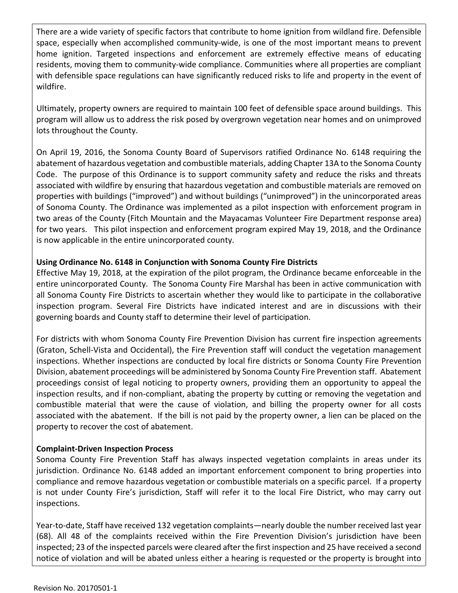There are a wide variety of specific factors that contribute to home ignition from wildland fire. Defensible space, especially when accomplished community-wide, is one of the most important means to prevent home ignition. Targeted inspections and enforcement are extremely effective means of educating residents, moving them to community-wide compliance. Communities where all properties are compliant with defensible space regulations can have significantly reduced risks to life and property in the event of wildfire.

Ultimately, property owners are required to maintain 100 feet of defensible space around buildings. This program will allow us to address the risk posed by overgrown vegetation near homes and on unimproved lots throughout the County.

On April 19, 2016, the Sonoma County Board of Supervisors ratified Ordinance No. 6148 requiring the abatement of hazardous vegetation and combustible materials, adding Chapter 13A to the Sonoma County Code. The purpose of this Ordinance is to support community safety and reduce the risks and threats associated with wildfire by ensuring that hazardous vegetation and combustible materials are removed on properties with buildings ("improved") and without buildings ("unimproved") in the unincorporated areas of Sonoma County. The Ordinance was implemented as a pilot inspection with enforcement program in two areas of the County (Fitch Mountain and the Mayacamas Volunteer Fire Department response area) for two years. This pilot inspection and enforcement program expired May 19, 2018, and the Ordinance is now applicable in the entire unincorporated county.

# **Using Ordinance No. 6148 in Conjunction with Sonoma County Fire Districts**

Effective May 19, 2018, at the expiration of the pilot program, the Ordinance became enforceable in the entire unincorporated County. The Sonoma County Fire Marshal has been in active communication with all Sonoma County Fire Districts to ascertain whether they would like to participate in the collaborative inspection program. Several Fire Districts have indicated interest and are in discussions with their governing boards and County staff to determine their level of participation.

For districts with whom Sonoma County Fire Prevention Division has current fire inspection agreements (Graton, Schell-Vista and Occidental), the Fire Prevention staff will conduct the vegetation management inspections. Whether inspections are conducted by local fire districts or Sonoma County Fire Prevention Division, abatement proceedings will be administered by Sonoma County Fire Prevention staff. Abatement proceedings consist of legal noticing to property owners, providing them an opportunity to appeal the inspection results, and if non-compliant, abating the property by cutting or removing the vegetation and combustible material that were the cause of violation, and billing the property owner for all costs associated with the abatement. If the bill is not paid by the property owner, a lien can be placed on the property to recover the cost of abatement.

# **Complaint-Driven Inspection Process**

Sonoma County Fire Prevention Staff has always inspected vegetation complaints in areas under its jurisdiction. Ordinance No. 6148 added an important enforcement component to bring properties into compliance and remove hazardous vegetation or combustible materials on a specific parcel. If a property is not under County Fire's jurisdiction, Staff will refer it to the local Fire District, who may carry out inspections.

Year-to-date, Staff have received 132 vegetation complaints—nearly double the number received last year (68). All 48 of the complaints received within the Fire Prevention Division's jurisdiction have been inspected; 23 of the inspected parcels were cleared after the first inspection and 25 have received a second notice of violation and will be abated unless either a hearing is requested or the property is brought into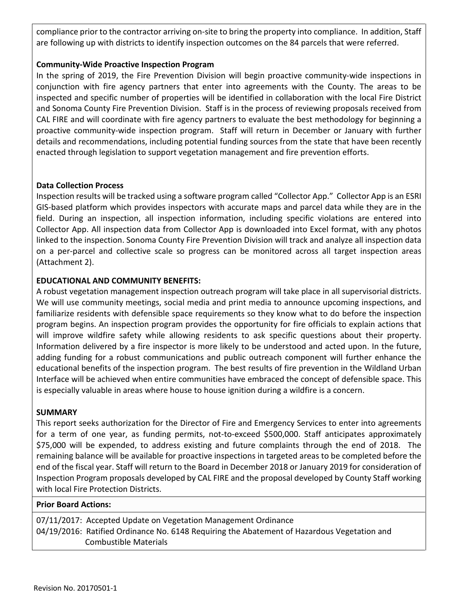compliance prior to the contractor arriving on-site to bring the property into compliance. In addition, Staff are following up with districts to identify inspection outcomes on the 84 parcels that were referred.

#### **Community-Wide Proactive Inspection Program**

In the spring of 2019, the Fire Prevention Division will begin proactive community-wide inspections in conjunction with fire agency partners that enter into agreements with the County. The areas to be inspected and specific number of properties will be identified in collaboration with the local Fire District and Sonoma County Fire Prevention Division. Staff is in the process of reviewing proposals received from CAL FIRE and will coordinate with fire agency partners to evaluate the best methodology for beginning a proactive community-wide inspection program. Staff will return in December or January with further details and recommendations, including potential funding sources from the state that have been recently enacted through legislation to support vegetation management and fire prevention efforts.

#### **Data Collection Process**

Inspection results will be tracked using a software program called "Collector App." Collector App is an ESRI GIS-based platform which provides inspectors with accurate maps and parcel data while they are in the field. During an inspection, all inspection information, including specific violations are entered into Collector App. All inspection data from Collector App is downloaded into Excel format, with any photos linked to the inspection. Sonoma County Fire Prevention Division will track and analyze all inspection data on a per-parcel and collective scale so progress can be monitored across all target inspection areas (Attachment 2).

#### **EDUCATIONAL AND COMMUNITY BENEFITS:**

A robust vegetation management inspection outreach program will take place in all supervisorial districts. We will use community meetings, social media and print media to announce upcoming inspections, and familiarize residents with defensible space requirements so they know what to do before the inspection program begins. An inspection program provides the opportunity for fire officials to explain actions that will improve wildfire safety while allowing residents to ask specific questions about their property. Information delivered by a fire inspector is more likely to be understood and acted upon. In the future, adding funding for a robust communications and public outreach component will further enhance the educational benefits of the inspection program. The best results of fire prevention in the Wildland Urban Interface will be achieved when entire communities have embraced the concept of defensible space. This is especially valuable in areas where house to house ignition during a wildfire is a concern.

#### **SUMMARY**

This report seeks authorization for the Director of Fire and Emergency Services to enter into agreements for a term of one year, as funding permits, not-to-exceed \$500,000. Staff anticipates approximately \$75,000 will be expended, to address existing and future complaints through the end of 2018. The remaining balance will be available for proactive inspections in targeted areas to be completed before the end of the fiscal year. Staff will return to the Board in December 2018 or January 2019 for consideration of Inspection Program proposals developed by CAL FIRE and the proposal developed by County Staff working with local Fire Protection Districts.

#### **Prior Board Actions:**

07/11/2017: Accepted Update on Vegetation Management Ordinance 04/19/2016: Ratified Ordinance No. 6148 Requiring the Abatement of Hazardous Vegetation and Combustible Materials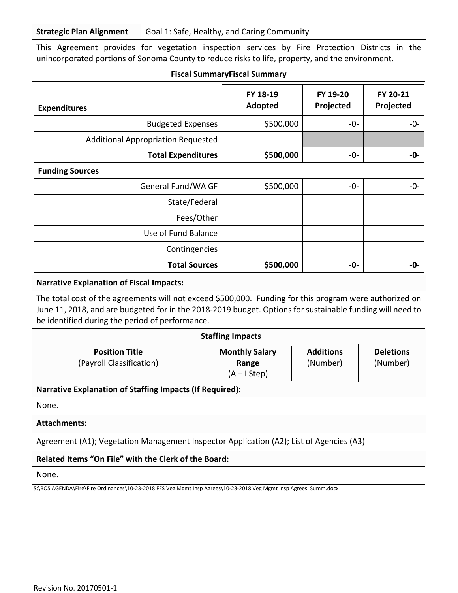| This Agreement provides for vegetation inspection services by Fire Protection Districts in the<br>unincorporated portions of Sonoma County to reduce risks to life, property, and the environment.                                                                      |                                                                                                                  |       |            |  |  |  |  |  |
|-------------------------------------------------------------------------------------------------------------------------------------------------------------------------------------------------------------------------------------------------------------------------|------------------------------------------------------------------------------------------------------------------|-------|------------|--|--|--|--|--|
|                                                                                                                                                                                                                                                                         | <b>Fiscal SummaryFiscal Summary</b>                                                                              |       |            |  |  |  |  |  |
| FY 18-19<br>FY 19-20<br>FY 20-21<br><b>Adopted</b><br>Projected<br>Projected<br><b>Expenditures</b>                                                                                                                                                                     |                                                                                                                  |       |            |  |  |  |  |  |
| \$500,000<br><b>Budgeted Expenses</b><br>$-0-$                                                                                                                                                                                                                          |                                                                                                                  |       |            |  |  |  |  |  |
| <b>Additional Appropriation Requested</b>                                                                                                                                                                                                                               |                                                                                                                  |       |            |  |  |  |  |  |
| <b>Total Expenditures</b>                                                                                                                                                                                                                                               | \$500,000                                                                                                        | -0-   | -0-        |  |  |  |  |  |
| <b>Funding Sources</b>                                                                                                                                                                                                                                                  |                                                                                                                  |       |            |  |  |  |  |  |
| General Fund/WA GF                                                                                                                                                                                                                                                      | \$500,000                                                                                                        | $-0-$ | $-0-$      |  |  |  |  |  |
| State/Federal                                                                                                                                                                                                                                                           |                                                                                                                  |       |            |  |  |  |  |  |
| Fees/Other                                                                                                                                                                                                                                                              |                                                                                                                  |       |            |  |  |  |  |  |
| Use of Fund Balance                                                                                                                                                                                                                                                     |                                                                                                                  |       |            |  |  |  |  |  |
| Contingencies                                                                                                                                                                                                                                                           |                                                                                                                  |       |            |  |  |  |  |  |
| <b>Total Sources</b>                                                                                                                                                                                                                                                    | \$500,000                                                                                                        |       | -0-<br>-0- |  |  |  |  |  |
| <b>Narrative Explanation of Fiscal Impacts:</b>                                                                                                                                                                                                                         |                                                                                                                  |       |            |  |  |  |  |  |
| The total cost of the agreements will not exceed \$500,000. Funding for this program were authorized on<br>June 11, 2018, and are budgeted for in the 2018-2019 budget. Options for sustainable funding will need to<br>be identified during the period of performance. |                                                                                                                  |       |            |  |  |  |  |  |
|                                                                                                                                                                                                                                                                         | <b>Staffing Impacts</b>                                                                                          |       |            |  |  |  |  |  |
| <b>Position Title</b><br>(Payroll Classification)                                                                                                                                                                                                                       | <b>Monthly Salary</b><br><b>Additions</b><br><b>Deletions</b><br>(Number)<br>(Number)<br>Range<br>$(A - I Step)$ |       |            |  |  |  |  |  |
| <b>Narrative Explanation of Staffing Impacts (If Required):</b>                                                                                                                                                                                                         |                                                                                                                  |       |            |  |  |  |  |  |
| None.                                                                                                                                                                                                                                                                   |                                                                                                                  |       |            |  |  |  |  |  |
| <b>Attachments:</b>                                                                                                                                                                                                                                                     |                                                                                                                  |       |            |  |  |  |  |  |
| Agreement (A1); Vegetation Management Inspector Application (A2); List of Agencies (A3)                                                                                                                                                                                 |                                                                                                                  |       |            |  |  |  |  |  |
| Related Items "On File" with the Clerk of the Board:                                                                                                                                                                                                                    |                                                                                                                  |       |            |  |  |  |  |  |
| None.                                                                                                                                                                                                                                                                   |                                                                                                                  |       |            |  |  |  |  |  |

S:\BOS AGENDA\Fire\Fire Ordinances\10-23-2018 FES Veg Mgmt Insp Agrees\10-23-2018 Veg Mgmt Insp Agrees\_Summ.docx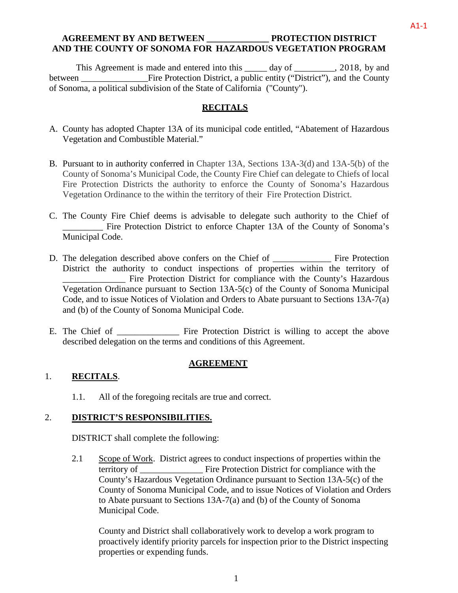# **AGREEMENT BY AND BETWEEN \_\_\_\_\_\_\_\_\_\_\_\_\_\_ PROTECTION DISTRICT AND THE COUNTY OF SONOMA FOR HAZARDOUS VEGETATION PROGRAM**

This Agreement is made and entered into this \_\_\_\_\_ day of \_\_\_\_\_\_\_\_, 2018, by and between \_\_\_\_\_\_\_\_\_\_\_\_\_\_\_Fire Protection District, a public entity ("District"), and the County of Sonoma, a political subdivision of the State of California ("County").

# **RECITALS**

- A. County has adopted Chapter 13A of its municipal code entitled, "Abatement of Hazardous Vegetation and Combustible Material."
- B. Pursuant to in authority conferred in Chapter 13A, Sections 13A-3(d) and 13A-5(b) of the County of Sonoma's Municipal Code, the County Fire Chief can delegate to Chiefs of local Fire Protection Districts the authority to enforce the County of Sonoma's Hazardous Vegetation Ordinance to the within the territory of their Fire Protection District.
- C. The County Fire Chief deems is advisable to delegate such authority to the Chief of \_\_\_\_\_\_\_\_\_ Fire Protection District to enforce Chapter 13A of the County of Sonoma's Municipal Code.
- D. The delegation described above confers on the Chief of Fire Protection District the authority to conduct inspections of properties within the territory of \_\_\_\_\_\_\_\_\_\_\_\_\_\_ Fire Protection District for compliance with the County's Hazardous Vegetation Ordinance pursuant to Section 13A-5(c) of the County of Sonoma Municipal Code, and to issue Notices of Violation and Orders to Abate pursuant to Sections 13A-7(a) and (b) of the County of Sonoma Municipal Code.
- E. The Chief of Fire Protection District is willing to accept the above described delegation on the terms and conditions of this Agreement.

#### **AGREEMENT**

# 1. **RECITALS**.

1.1. All of the foregoing recitals are true and correct.

#### 2. **DISTRICT'S RESPONSIBILITIES.**

DISTRICT shall complete the following:

2.1 Scope of Work. District agrees to conduct inspections of properties within the territory of \_\_\_\_\_\_\_\_\_\_\_\_\_\_ Fire Protection District for compliance with the County's Hazardous Vegetation Ordinance pursuant to Section 13A-5(c) of the County of Sonoma Municipal Code, and to issue Notices of Violation and Orders to Abate pursuant to Sections 13A-7(a) and (b) of the County of Sonoma Municipal Code.

County and District shall collaboratively work to develop a work program to proactively identify priority parcels for inspection prior to the District inspecting properties or expending funds.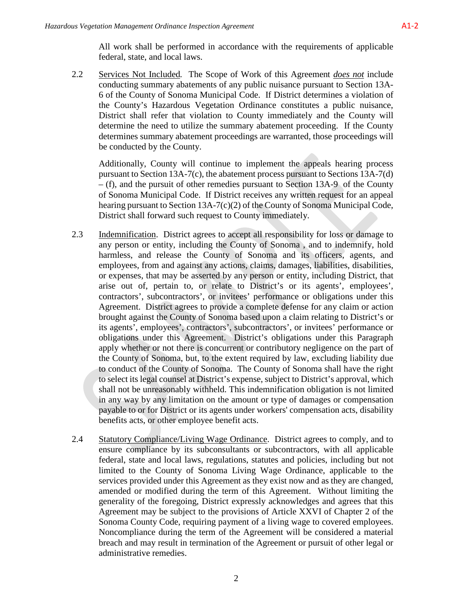2.2 Services Not Included*.* The Scope of Work of this Agreement *does not* include conducting summary abatements of any public nuisance pursuant to Section 13A-6 of the County of Sonoma Municipal Code. If District determines a violation of the County's Hazardous Vegetation Ordinance constitutes a public nuisance, District shall refer that violation to County immediately and the County will determine the need to utilize the summary abatement proceeding. If the County determines summary abatement proceedings are warranted, those proceedings will be conducted by the County.

Additionally, County will continue to implement the appeals hearing process pursuant to Section 13A-7(c), the abatement process pursuant to Sections 13A-7(d) – (f), and the pursuit of other remedies pursuant to Section 13A-9 of the County of Sonoma Municipal Code. If District receives any written request for an appeal hearing pursuant to Section 13A-7(c)(2) of the County of Sonoma Municipal Code, District shall forward such request to County immediately.

- 2.3 Indemnification. District agrees to accept all responsibility for loss or damage to any person or entity, including the County of Sonoma , and to indemnify, hold harmless, and release the County of Sonoma and its officers, agents, and employees, from and against any actions, claims, damages, liabilities, disabilities, or expenses, that may be asserted by any person or entity, including District, that arise out of, pertain to, or relate to District's or its agents', employees', contractors', subcontractors', or invitees' performance or obligations under this Agreement. District agrees to provide a complete defense for any claim or action brought against the County of Sonoma based upon a claim relating to District's or its agents', employees', contractors', subcontractors', or invitees' performance or obligations under this Agreement. District's obligations under this Paragraph apply whether or not there is concurrent or contributory negligence on the part of the County of Sonoma, but, to the extent required by law, excluding liability due to conduct of the County of Sonoma. The County of Sonoma shall have the right to select its legal counsel at District's expense, subject to District's approval, which shall not be unreasonably withheld. This indemnification obligation is not limited in any way by any limitation on the amount or type of damages or compensation payable to or for District or its agents under workers' compensation acts, disability benefits acts, or other employee benefit acts.
- 2.4 Statutory Compliance/Living Wage Ordinance. District agrees to comply, and to ensure compliance by its subconsultants or subcontractors, with all applicable federal, state and local laws, regulations, statutes and policies, including but not limited to the County of Sonoma Living Wage Ordinance, applicable to the services provided under this Agreement as they exist now and as they are changed, amended or modified during the term of this Agreement. Without limiting the generality of the foregoing, District expressly acknowledges and agrees that this Agreement may be subject to the provisions of Article XXVI of Chapter 2 of the Sonoma County Code, requiring payment of a living wage to covered employees. Noncompliance during the term of the Agreement will be considered a material breach and may result in termination of the Agreement or pursuit of other legal or administrative remedies.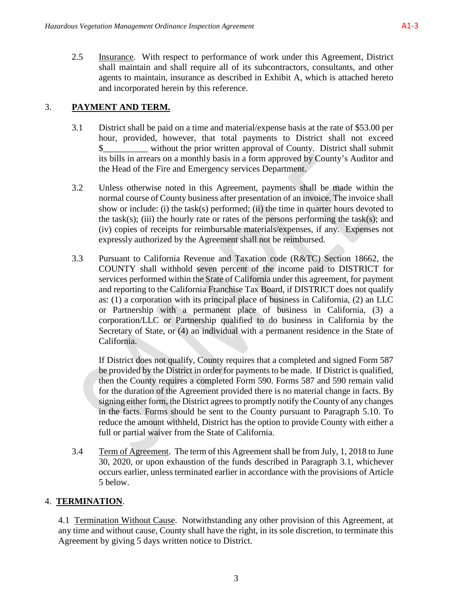2.5 Insurance. With respect to performance of work under this Agreement, District shall maintain and shall require all of its subcontractors, consultants, and other agents to maintain, insurance as described in Exhibit A, which is attached hereto and incorporated herein by this reference.

# 3. **PAYMENT AND TERM.**

- 3.1 District shall be paid on a time and material/expense basis at the rate of \$53.00 per hour, provided, however, that total payments to District shall not exceed \$\_\_\_\_\_\_\_\_\_\_ without the prior written approval of County. District shall submit its bills in arrears on a monthly basis in a form approved by County's Auditor and the Head of the Fire and Emergency services Department.
- 3.2 Unless otherwise noted in this Agreement, payments shall be made within the normal course of County business after presentation of an invoice. The invoice shall show or include: (i) the task(s) performed; (ii) the time in quarter hours devoted to the task(s); (iii) the hourly rate or rates of the persons performing the task(s); and (iv) copies of receipts for reimbursable materials/expenses, if any. Expenses not expressly authorized by the Agreement shall not be reimbursed.
- 3.3 Pursuant to California Revenue and Taxation code (R&TC) Section 18662, the COUNTY shall withhold seven percent of the income paid to DISTRICT for services performed within the State of California under this agreement, for payment and reporting to the California Franchise Tax Board, if DISTRICT does not qualify as: (1) a corporation with its principal place of business in California, (2) an LLC or Partnership with a permanent place of business in California, (3) a corporation/LLC or Partnership qualified to do business in California by the Secretary of State, or (4) an individual with a permanent residence in the State of California.

If District does not qualify, County requires that a completed and signed Form 587 be provided by the District in order for payments to be made. If District is qualified, then the County requires a completed Form 590. Forms 587 and 590 remain valid for the duration of the Agreement provided there is no material change in facts. By signing either form, the District agrees to promptly notify the County of any changes in the facts. Forms should be sent to the County pursuant to Paragraph 5.10. To reduce the amount withheld, District has the option to provide County with either a full or partial waiver from the State of California.

3.4 Term of Agreement. The term of this Agreement shall be from July, 1, 2018 to June 30, 2020, or upon exhaustion of the funds described in Paragraph 3.1, whichever occurs earlier, unless terminated earlier in accordance with the provisions of Article 5 below.

# 4. **TERMINATION**.

4.1 Termination Without Cause. Notwithstanding any other provision of this Agreement, at any time and without cause, County shall have the right, in its sole discretion, to terminate this Agreement by giving 5 days written notice to District.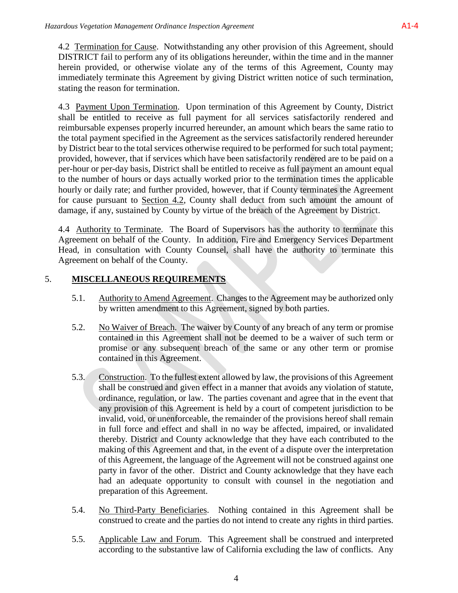4.2 Termination for Cause. Notwithstanding any other provision of this Agreement, should DISTRICT fail to perform any of its obligations hereunder, within the time and in the manner herein provided, or otherwise violate any of the terms of this Agreement, County may immediately terminate this Agreement by giving District written notice of such termination, stating the reason for termination.

4.3 Payment Upon Termination. Upon termination of this Agreement by County, District shall be entitled to receive as full payment for all services satisfactorily rendered and reimbursable expenses properly incurred hereunder, an amount which bears the same ratio to the total payment specified in the Agreement as the services satisfactorily rendered hereunder by District bear to the total services otherwise required to be performed for such total payment; provided, however, that if services which have been satisfactorily rendered are to be paid on a per-hour or per-day basis, District shall be entitled to receive as full payment an amount equal to the number of hours or days actually worked prior to the termination times the applicable hourly or daily rate; and further provided, however, that if County terminates the Agreement for cause pursuant to Section 4.2, County shall deduct from such amount the amount of damage, if any, sustained by County by virtue of the breach of the Agreement by District.

4.4 Authority to Terminate. The Board of Supervisors has the authority to terminate this Agreement on behalf of the County. In addition, Fire and Emergency Services Department Head, in consultation with County Counsel, shall have the authority to terminate this Agreement on behalf of the County.

# 5. **MISCELLANEOUS REQUIREMENTS**

- 5.1. Authority to Amend Agreement. Changes to the Agreement may be authorized only by written amendment to this Agreement, signed by both parties.
- 5.2. No Waiver of Breach. The waiver by County of any breach of any term or promise contained in this Agreement shall not be deemed to be a waiver of such term or promise or any subsequent breach of the same or any other term or promise contained in this Agreement.
- 5.3. Construction. To the fullest extent allowed by law, the provisions of this Agreement shall be construed and given effect in a manner that avoids any violation of statute, ordinance, regulation, or law. The parties covenant and agree that in the event that any provision of this Agreement is held by a court of competent jurisdiction to be invalid, void, or unenforceable, the remainder of the provisions hereof shall remain in full force and effect and shall in no way be affected, impaired, or invalidated thereby. District and County acknowledge that they have each contributed to the making of this Agreement and that, in the event of a dispute over the interpretation of this Agreement, the language of the Agreement will not be construed against one party in favor of the other. District and County acknowledge that they have each had an adequate opportunity to consult with counsel in the negotiation and preparation of this Agreement.
- 5.4. No Third-Party Beneficiaries. Nothing contained in this Agreement shall be construed to create and the parties do not intend to create any rights in third parties.
- 5.5. Applicable Law and Forum. This Agreement shall be construed and interpreted according to the substantive law of California excluding the law of conflicts. Any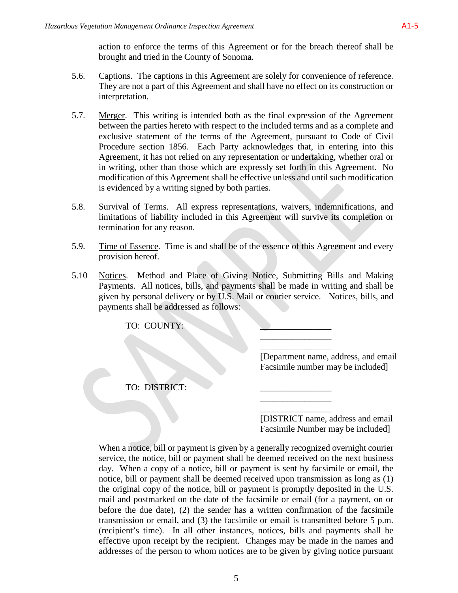action to enforce the terms of this Agreement or for the breach thereof shall be brought and tried in the County of Sonoma.

- 5.6. Captions. The captions in this Agreement are solely for convenience of reference. They are not a part of this Agreement and shall have no effect on its construction or interpretation.
- 5.7. Merger. This writing is intended both as the final expression of the Agreement between the parties hereto with respect to the included terms and as a complete and exclusive statement of the terms of the Agreement, pursuant to Code of Civil Procedure section 1856. Each Party acknowledges that, in entering into this Agreement, it has not relied on any representation or undertaking, whether oral or in writing, other than those which are expressly set forth in this Agreement. No modification of this Agreement shall be effective unless and until such modification is evidenced by a writing signed by both parties.
- 5.8. Survival of Terms. All express representations, waivers, indemnifications, and limitations of liability included in this Agreement will survive its completion or termination for any reason.
- 5.9. Time of Essence. Time is and shall be of the essence of this Agreement and every provision hereof.
- 5.10 Notices. Method and Place of Giving Notice, Submitting Bills and Making Payments. All notices, bills, and payments shall be made in writing and shall be given by personal delivery or by U.S. Mail or courier service. Notices, bills, and payments shall be addressed as follows:

TO: COUNTY:

\_\_\_\_\_\_\_\_\_\_\_\_\_\_\_\_ [Department name, address, and email Facsimile number may be included]

\_\_\_\_\_\_\_\_\_\_\_\_\_\_\_\_

\_\_\_\_\_\_\_\_\_\_\_\_\_\_\_\_

TO: DISTRICT:

\_\_\_\_\_\_\_\_\_\_\_\_\_\_\_\_ [DISTRICT name, address and email Facsimile Number may be included]

When a notice, bill or payment is given by a generally recognized overnight courier service, the notice, bill or payment shall be deemed received on the next business day. When a copy of a notice, bill or payment is sent by facsimile or email, the notice, bill or payment shall be deemed received upon transmission as long as (1) the original copy of the notice, bill or payment is promptly deposited in the U.S. mail and postmarked on the date of the facsimile or email (for a payment, on or before the due date), (2) the sender has a written confirmation of the facsimile transmission or email, and (3) the facsimile or email is transmitted before 5 p.m. (recipient's time). In all other instances, notices, bills and payments shall be effective upon receipt by the recipient. Changes may be made in the names and addresses of the person to whom notices are to be given by giving notice pursuant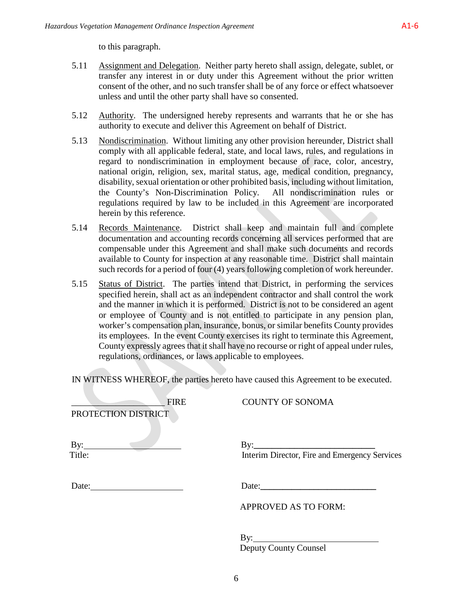to this paragraph.

- 5.11 Assignment and Delegation. Neither party hereto shall assign, delegate, sublet, or transfer any interest in or duty under this Agreement without the prior written consent of the other, and no such transfer shall be of any force or effect whatsoever unless and until the other party shall have so consented.
- 5.12 Authority. The undersigned hereby represents and warrants that he or she has authority to execute and deliver this Agreement on behalf of District.
- 5.13 Nondiscrimination. Without limiting any other provision hereunder, District shall comply with all applicable federal, state, and local laws, rules, and regulations in regard to nondiscrimination in employment because of race, color, ancestry, national origin, religion, sex, marital status, age, medical condition, pregnancy, disability, sexual orientation or other prohibited basis, including without limitation, the County's Non-Discrimination Policy. All nondiscrimination rules or regulations required by law to be included in this Agreement are incorporated herein by this reference.
- 5.14 Records Maintenance. District shall keep and maintain full and complete documentation and accounting records concerning all services performed that are compensable under this Agreement and shall make such documents and records available to County for inspection at any reasonable time. District shall maintain such records for a period of four (4) years following completion of work hereunder.
- 5.15 Status of District. The parties intend that District, in performing the services specified herein, shall act as an independent contractor and shall control the work and the manner in which it is performed. District is not to be considered an agent or employee of County and is not entitled to participate in any pension plan, worker's compensation plan, insurance, bonus, or similar benefits County provides its employees. In the event County exercises its right to terminate this Agreement, County expressly agrees that it shall have no recourse or right of appeal under rules, regulations, ordinances, or laws applicable to employees.

IN WITNESS WHEREOF, the parties hereto have caused this Agreement to be executed.

| <b>FIRE</b><br>PROTECTION DISTRICT | <b>COUNTY OF SONOMA</b>                                            |
|------------------------------------|--------------------------------------------------------------------|
| $\mathbf{By:}$<br>Title:           | By: $\frac{1}{2}$<br>Interim Director, Fire and Emergency Services |
| Date: $\qquad \qquad$              |                                                                    |
|                                    | <b>APPROVED AS TO FORM:</b>                                        |
|                                    | $\mathbf{B}$ y:<br><b>Deputy County Counsel</b>                    |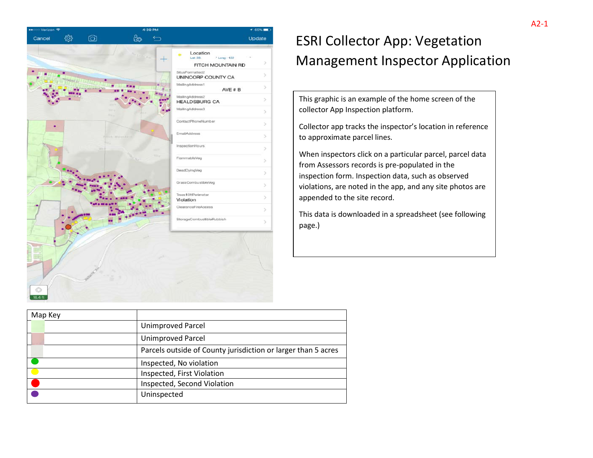| ●●000 Verizon 〒 |                | 4:39 PM                  |                                             | ₹ 65%   |
|-----------------|----------------|--------------------------|---------------------------------------------|---------|
| Cancel          | $\circledcirc$ | iø,<br>$\leftrightarrow$ |                                             | Update  |
|                 |                |                          |                                             |         |
|                 |                |                          | Location<br>۰<br>Lat: $38.$<br>* Long: -122 |         |
|                 |                |                          | FITCH MOUNTAIN RD                           | ×       |
|                 |                |                          | SitusFormatted2<br>UNINCORP COUNTY CA       | $\geq$  |
|                 | <b>Leits</b>   |                          | MailingAddress1<br>AVE # B                  | $\!>$   |
|                 |                |                          | MailingAddress2<br><b>HEALDSBURG CA</b>     | $\,>\,$ |
|                 |                |                          | MailingAddress3                             | $\geq$  |
|                 |                |                          | ContactPhoneNumber                          | $\geq$  |
|                 |                | <b>Hin Maunfall</b>      | EmailAddress                                | ×       |
|                 |                |                          | InspectionHours                             | $\,$    |
|                 |                |                          | FlammableVeg                                | ×       |
|                 |                |                          | DeadDyingVeg                                | $\geq$  |
|                 |                |                          | GrassCombustibleVeg                         | ×       |
|                 |                |                          | Trees10ftPerimeter<br>Violation             | $\geq$  |
|                 |                |                          | ClearanceFireAccess                         | ×       |
|                 |                |                          | StorageCombustibleRubbish                   | s       |
|                 |                |                          |                                             |         |

# ESRI Collector App: Vegetation Management Inspector Application

This graphic is an example of the home screen of the collector App Inspection platform.

Collector app tracks the inspector's location in reference to approximate parcel lines.

When inspectors click on a particular parcel, parcel data from Assessors records is pre-populated in the inspection form. Inspection data, such as observed violations, are noted in the app, and any site photos are appended to the site record.

This data is downloaded in a spreadsheet (see following page.)

| Map Key |                                                               |
|---------|---------------------------------------------------------------|
|         | <b>Unimproved Parcel</b>                                      |
|         | <b>Unimproved Parcel</b>                                      |
|         | Parcels outside of County jurisdiction or larger than 5 acres |
|         | Inspected, No violation                                       |
|         | Inspected, First Violation                                    |
|         | Inspected, Second Violation                                   |
|         | Uninspected                                                   |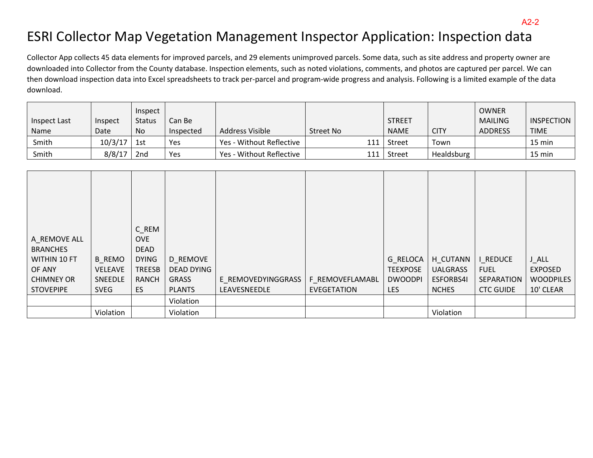# ESRI Collector Map Vegetation Management Inspector Application: Inspection data

Collector App collects 45 data elements for improved parcels, and 29 elements unimproved parcels. Some data, such as site address and property owner are downloaded into Collector from the County database. Inspection elements, such as noted violations, comments, and photos are captured per parcel. We can then download inspection data into Excel spreadsheets to track per-parcel and program-wide progress and analysis. Following is a limited example of the data download.

| Inspect Last | Inspect | Inspect<br><b>Status</b> | Can Be    |                          |           | <b>STREET</b> |             | <b>OWNER</b><br><b>MAILING</b> | INSPECTION  |
|--------------|---------|--------------------------|-----------|--------------------------|-----------|---------------|-------------|--------------------------------|-------------|
| <b>Name</b>  | Date    | No                       | Inspected | Address Visible          | Street No | <b>NAME</b>   | <b>CITY</b> | <b>ADDRESS</b>                 | <b>TIME</b> |
| Smith        | 10/3/17 | 1st                      | Yes       | Yes - Without Reflective | 111       | Street        | Town        |                                | 15 min      |
| Smith        | 8/8/17  | 2 <sub>nd</sub>          | Yes       | Yes - Without Reflective |           | Street        | Healdsburg  |                                | 15 min      |

| A_REMOVE ALL      |                | C_REM<br><b>OVE</b> |                   |                    |                    |                 |                  |                  |                  |
|-------------------|----------------|---------------------|-------------------|--------------------|--------------------|-----------------|------------------|------------------|------------------|
| <b>BRANCHES</b>   |                | <b>DEAD</b>         |                   |                    |                    |                 |                  |                  |                  |
| WITHIN 10 FT      | <b>B REMO</b>  | <b>DYING</b>        | D_REMOVE          |                    |                    | G RELOCA        | H_CUTANN         | I REDUCE         | <b>J_ALL</b>     |
| OF ANY            | <b>VELEAVE</b> | <b>TREESB</b>       | <b>DEAD DYING</b> |                    |                    | <b>TEEXPOSE</b> | <b>UALGRASS</b>  | <b>FUEL</b>      | <b>EXPOSED</b>   |
| <b>CHIMNEY OR</b> | SNEEDLE        | <b>RANCH</b>        | GRASS             | E REMOVEDYINGGRASS | F REMOVEFLAMABL    | <b>DWOODPI</b>  | <b>ESFORBS4I</b> | SEPARATION       | <b>WOODPILES</b> |
| <b>STOVEPIPE</b>  | <b>SVEG</b>    | ES                  | <b>PLANTS</b>     | LEAVESNEEDLE       | <b>EVEGETATION</b> | <b>LES</b>      | <b>NCHES</b>     | <b>CTC GUIDE</b> | 10' CLEAR        |
|                   |                |                     | Violation         |                    |                    |                 |                  |                  |                  |
|                   | Violation      |                     | Violation         |                    |                    |                 | Violation        |                  |                  |